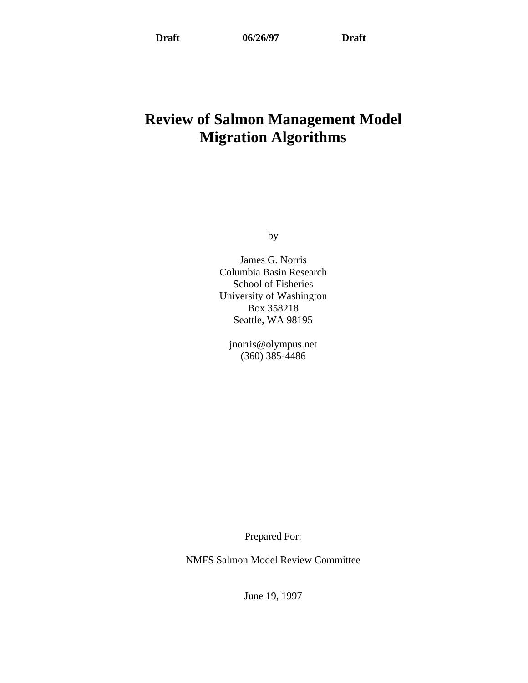# **Review of Salmon Management Model Migration Algorithms**

by

James G. Norris Columbia Basin Research School of Fisheries University of Washington Box 358218 Seattle, WA 98195

jnorris@olympus.net (360) 385-4486

Prepared For:

NMFS Salmon Model Review Committee

June 19, 1997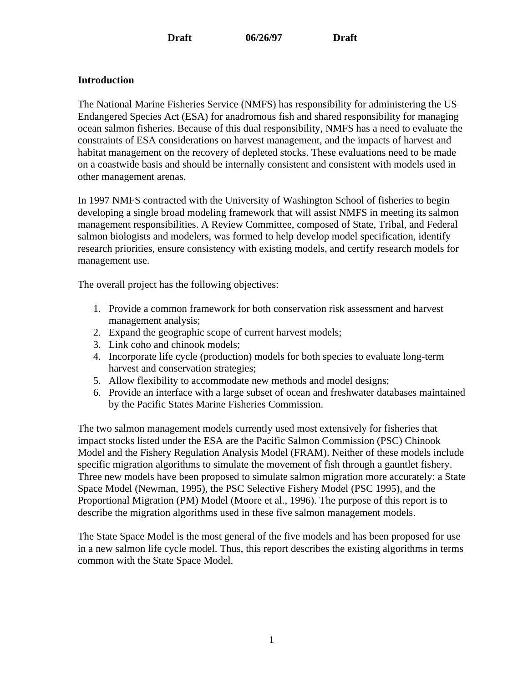## **Introduction**

The National Marine Fisheries Service (NMFS) has responsibility for administering the US Endangered Species Act (ESA) for anadromous fish and shared responsibility for managing ocean salmon fisheries. Because of this dual responsibility, NMFS has a need to evaluate the constraints of ESA considerations on harvest management, and the impacts of harvest and habitat management on the recovery of depleted stocks. These evaluations need to be made on a coastwide basis and should be internally consistent and consistent with models used in other management arenas.

In 1997 NMFS contracted with the University of Washington School of fisheries to begin developing a single broad modeling framework that will assist NMFS in meeting its salmon management responsibilities. A Review Committee, composed of State, Tribal, and Federal salmon biologists and modelers, was formed to help develop model specification, identify research priorities, ensure consistency with existing models, and certify research models for management use.

The overall project has the following objectives:

- 1. Provide a common framework for both conservation risk assessment and harvest management analysis;
- 2. Expand the geographic scope of current harvest models;
- 3. Link coho and chinook models;
- 4. Incorporate life cycle (production) models for both species to evaluate long-term harvest and conservation strategies;
- 5. Allow flexibility to accommodate new methods and model designs;
- 6. Provide an interface with a large subset of ocean and freshwater databases maintained by the Pacific States Marine Fisheries Commission.

The two salmon management models currently used most extensively for fisheries that impact stocks listed under the ESA are the Pacific Salmon Commission (PSC) Chinook Model and the Fishery Regulation Analysis Model (FRAM). Neither of these models include specific migration algorithms to simulate the movement of fish through a gauntlet fishery. Three new models have been proposed to simulate salmon migration more accurately: a State Space Model (Newman, 1995), the PSC Selective Fishery Model (PSC 1995), and the Proportional Migration (PM) Model (Moore et al., 1996). The purpose of this report is to describe the migration algorithms used in these five salmon management models.

The State Space Model is the most general of the five models and has been proposed for use in a new salmon life cycle model. Thus, this report describes the existing algorithms in terms common with the State Space Model.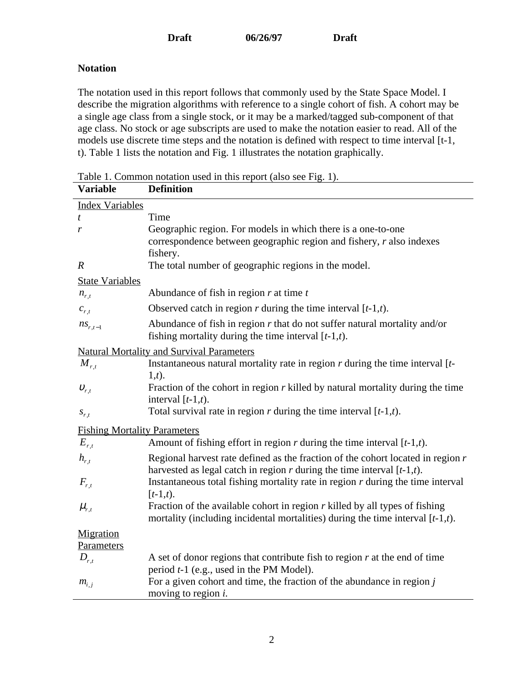## **Notation**

The notation used in this report follows that commonly used by the State Space Model. I describe the migration algorithms with reference to a single cohort of fish. A cohort may be a single age class from a single stock, or it may be a marked/tagged sub-component of that age class. No stock or age subscripts are used to make the notation easier to read. All of the models use discrete time steps and the notation is defined with respect to time interval [t-1, t). Table 1 lists the notation and Fig. 1 illustrates the notation graphically.

| <b>Variable</b>                     | <b>Definition</b>                                                                                                                                                  |
|-------------------------------------|--------------------------------------------------------------------------------------------------------------------------------------------------------------------|
| <b>Index Variables</b>              |                                                                                                                                                                    |
| t                                   | Time                                                                                                                                                               |
| r                                   | Geographic region. For models in which there is a one-to-one                                                                                                       |
|                                     | correspondence between geographic region and fishery, r also indexes                                                                                               |
|                                     | fishery.                                                                                                                                                           |
| $\boldsymbol{R}$                    | The total number of geographic regions in the model.                                                                                                               |
| <b>State Variables</b>              |                                                                                                                                                                    |
| $n_{r,t}$                           | Abundance of fish in region $r$ at time $t$                                                                                                                        |
| $c_{r,t}$                           | Observed catch in region r during the time interval $[t-1,t)$ .                                                                                                    |
| $ns_{r,t-1}$                        | Abundance of fish in region $r$ that do not suffer natural mortality and/or<br>fishing mortality during the time interval $[t-1,t)$ .                              |
|                                     | <b>Natural Mortality and Survival Parameters</b>                                                                                                                   |
| $M_{r,t}$                           | Instantaneous natural mortality rate in region $r$ during the time interval $[t-$                                                                                  |
|                                     | $(1,t)$ .                                                                                                                                                          |
| $v_{r,t}$                           | Fraction of the cohort in region $r$ killed by natural mortality during the time                                                                                   |
|                                     | interval $[t-1,t)$ .                                                                                                                                               |
| $S_{r,t}$                           | Total survival rate in region $r$ during the time interval $[t-1,t)$ .                                                                                             |
| <b>Fishing Mortality Parameters</b> |                                                                                                                                                                    |
| $E_{r,t}$                           | Amount of fishing effort in region r during the time interval $[t-1,t)$ .                                                                                          |
| $h_{r,t}$                           | Regional harvest rate defined as the fraction of the cohort located in region $r$<br>harvested as legal catch in region $r$ during the time interval $[t-1,t)$ .   |
| $F_{r,t}$                           | Instantaneous total fishing mortality rate in region $r$ during the time interval<br>$[t-1,t).$                                                                    |
| $\mu_{r,t}$                         | Fraction of the available cohort in region $r$ killed by all types of fishing<br>mortality (including incidental mortalities) during the time interval $[t-1,t)$ . |
| Migration                           |                                                                                                                                                                    |
| Parameters                          |                                                                                                                                                                    |
| $D_{r,t}$                           | A set of donor regions that contribute fish to region $r$ at the end of time<br>period $t-1$ (e.g., used in the PM Model).                                         |
| $m_{i,j}$                           | For a given cohort and time, the fraction of the abundance in region $j$<br>moving to region $i$ .                                                                 |

Table 1. Common notation used in this report (also see Fig. 1).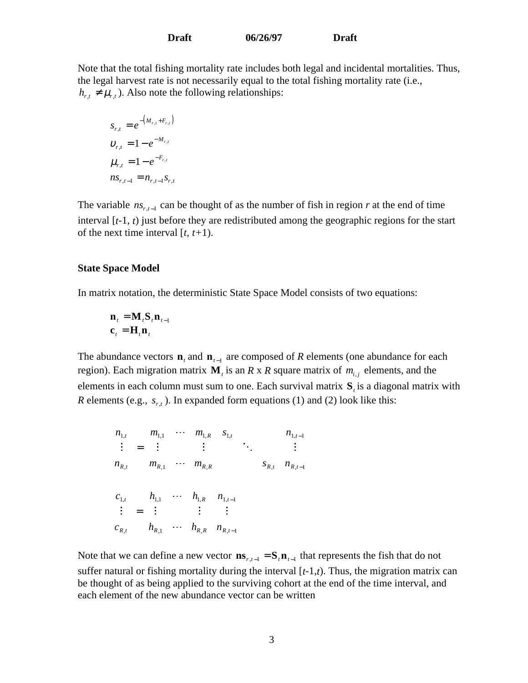Note that the total fishing mortality rate includes both legal and incidental mortalities. Thus, the legal harvest rate is not necessarily equal to the total fishing mortality rate (i.e.,  $h_{r,t} \neq \mu_{r,t}$ ). Also note the following relationships:

$$
s_{r,t} = e^{-(M_{r,t} + F_{r,t})}
$$
  
\n
$$
v_{r,t} = 1 - e^{-M_{r,t}}
$$
  
\n
$$
\mu_{r,t} = 1 - e^{-F_{r,t}}
$$
  
\n
$$
ns_{r,t-1} = n_{r,t-1} s_{r,t}
$$

The variable  $ns_{r,t-1}$  can be thought of as the number of fish in region *r* at the end of time interval [*t*-1, *t*) just before they are redistributed among the geographic regions for the start of the next time interval [*t*, *t+*1).

#### **State Space Model**

In matrix notation, the deterministic State Space Model consists of two equations:

$$
\begin{aligned} \mathbf{n}_{t} &= \mathbf{M}_{t} \mathbf{S}_{t} \mathbf{n}_{t-1} \\ \mathbf{c}_{t} &= \mathbf{H}_{t} \mathbf{n}_{t} \end{aligned}
$$

The abundance vectors  $\mathbf{n}_t$  and  $\mathbf{n}_{t-1}$  are composed of *R* elements (one abundance for each region). Each migration matrix  $M_t$  is an *R* x *R* square matrix of  $m_{i,i}$  elements, and the elements in each column must sum to one. Each survival matrix **S***<sup>t</sup>* is a diagonal matrix with *R* elements (e.g.,  $s_{r,t}$ ). In expanded form equations (1) and (2) look like this:

$$
\begin{bmatrix}\nn_{1,t} \\
\vdots \\
n_{R,t}\n\end{bmatrix} =\n\begin{bmatrix}\nm_{1,1} & \cdots & m_{1,R} \\
\vdots & & \vdots \\
m_{R,1} & \cdots & m_{R,R}\n\end{bmatrix}\n\begin{bmatrix}\ns_{1,t} \\
\vdots \\
\vdots \\
\vdots \\
n_{R,t-1}\n\end{bmatrix}\n\begin{bmatrix}\nn_{1,t-1} \\
\vdots \\
n_{R,t-1}\n\end{bmatrix}
$$
\n
$$
\begin{bmatrix}\nc_{1,t} \\
\vdots \\
c_{R,t}\n\end{bmatrix} =\n\begin{bmatrix}\nh_{1,1} & \cdots & h_{1,R} \\
\vdots & & \vdots \\
h_{R,1} & \cdots & h_{R,R}\n\end{bmatrix}\n\begin{bmatrix}\nn_{1,t-1} \\
\vdots \\
n_{R,t-1}\n\end{bmatrix}
$$

Note that we can define a new vector  $\mathbf{ns}_{r,t-1} = \mathbf{S}_t \mathbf{n}_{t-1}$  that represents the fish that do not suffer natural or fishing mortality during the interval  $[t-1,t)$ . Thus, the migration matrix can be thought of as being applied to the surviving cohort at the end of the time interval, and each element of the new abundance vector can be written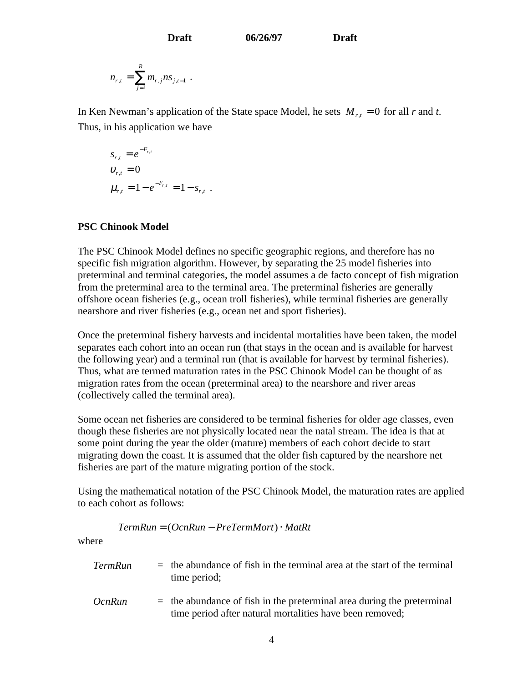$$
n_{r,t} = \sum_{j=1}^R m_{r,j} n s_{j,t-1} .
$$

In Ken Newman's application of the State space Model, he sets  $M_{r,t} = 0$  for all *r* and *t*. Thus, in his application we have

$$
s_{r,t} = e^{-F_{r,t}}
$$
  
\n
$$
v_{r,t} = 0
$$
  
\n
$$
\mu_{r,t} = 1 - e^{-F_{r,t}} = 1 - s_{r,t}
$$
.

## **PSC Chinook Model**

The PSC Chinook Model defines no specific geographic regions, and therefore has no specific fish migration algorithm. However, by separating the 25 model fisheries into preterminal and terminal categories, the model assumes a de facto concept of fish migration from the preterminal area to the terminal area. The preterminal fisheries are generally offshore ocean fisheries (e.g., ocean troll fisheries), while terminal fisheries are generally nearshore and river fisheries (e.g., ocean net and sport fisheries).

Once the preterminal fishery harvests and incidental mortalities have been taken, the model separates each cohort into an ocean run (that stays in the ocean and is available for harvest the following year) and a terminal run (that is available for harvest by terminal fisheries). Thus, what are termed maturation rates in the PSC Chinook Model can be thought of as migration rates from the ocean (preterminal area) to the nearshore and river areas (collectively called the terminal area).

Some ocean net fisheries are considered to be terminal fisheries for older age classes, even though these fisheries are not physically located near the natal stream. The idea is that at some point during the year the older (mature) members of each cohort decide to start migrating down the coast. It is assumed that the older fish captured by the nearshore net fisheries are part of the mature migrating portion of the stock.

Using the mathematical notation of the PSC Chinook Model, the maturation rates are applied to each cohort as follows:

$$
TermRun = (OcnRun - PreTermMort) \cdot MatRt
$$

where

| <b>TermRun</b>                                  | $=$ the abundance of fish in the terminal area at the start of the terminal<br>time period;           |
|-------------------------------------------------|-------------------------------------------------------------------------------------------------------|
| $\Omega_{\text{max}}$ $\mathbf{D}_{\text{max}}$ | . او میکنند و این معلوم میکنند از مورد با میکنند و معلومیت معلوم از معلوم از معلوم استفاده معلوم معلو |

*OcnRun* = the abundance of fish in the preterminal area during the preterminal time period after natural mortalities have been removed;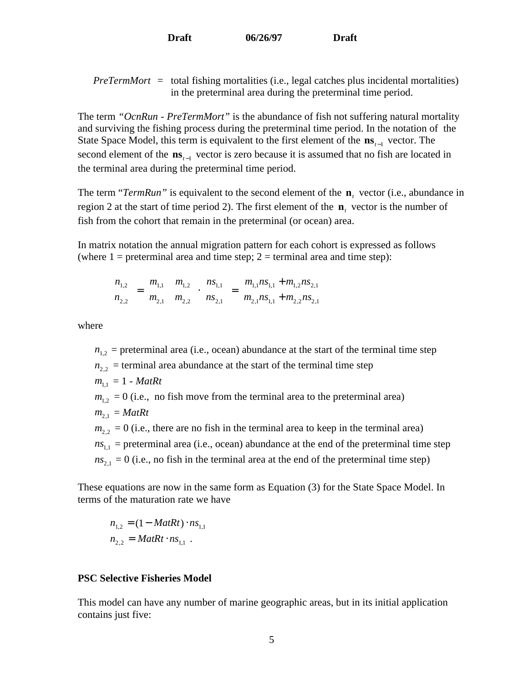*PreTermMort* = total fishing mortalities (i.e., legal catches plus incidental mortalities) in the preterminal area during the preterminal time period.

The term *"OcnRun* - *PreTermMort"* is the abundance of fish not suffering natural mortality and surviving the fishing process during the preterminal time period. In the notation of the State Space Model, this term is equivalent to the first element of the **ns***<sup>t</sup>*−1 vector. The second element of the **ns**<sub>*t*−1</sub> vector is zero because it is assumed that no fish are located in the terminal area during the preterminal time period.

The term " $TermRun$ " is equivalent to the second element of the  $\mathbf{n}_t$  vector (i.e., abundance in region 2 at the start of time period 2). The first element of the **n***t* vector is the number of fish from the cohort that remain in the preterminal (or ocean) area.

In matrix notation the annual migration pattern for each cohort is expressed as follows (where  $1 =$  preterminal area and time step;  $2 =$  terminal area and time step):

$$
\begin{bmatrix} n_{1,2} \\ n_{2,2} \end{bmatrix} = \begin{bmatrix} m_{1,1} & m_{1,2} \\ m_{2,1} & m_{2,2} \end{bmatrix} \cdot \begin{bmatrix} n_{1,1} \\ n_{2,1} \end{bmatrix} = \begin{bmatrix} m_{1,1} n_{1,1} + m_{1,2} n_{2,1} \\ m_{2,1} n_{1,1} + m_{2,2} n_{2,1} \end{bmatrix}
$$

where

 $n_{1,2}$  = preterminal area (i.e., ocean) abundance at the start of the terminal time step  $n_{22}$  = terminal area abundance at the start of the terminal time step  $m_{11} = 1 - \text{MatR}$ t  $m_{1,2} = 0$  (i.e., no fish move from the terminal area to the preterminal area)  $m_{21} = MatRt$  $m_{2,2} = 0$  (i.e., there are no fish in the terminal area to keep in the terminal area)  $ns<sub>1,1</sub>$  = preterminal area (i.e., ocean) abundance at the end of the preterminal time step  $ns<sub>21</sub> = 0$  (i.e., no fish in the terminal area at the end of the preterminal time step)

These equations are now in the same form as Equation (3) for the State Space Model. In terms of the maturation rate we have

$$
n_{1,2} = (1 - \text{MatR}t) \cdot ns_{1,1}
$$
  

$$
n_{2,2} = \text{MatR}t \cdot ns_{1,1} .
$$

## **PSC Selective Fisheries Model**

This model can have any number of marine geographic areas, but in its initial application contains just five: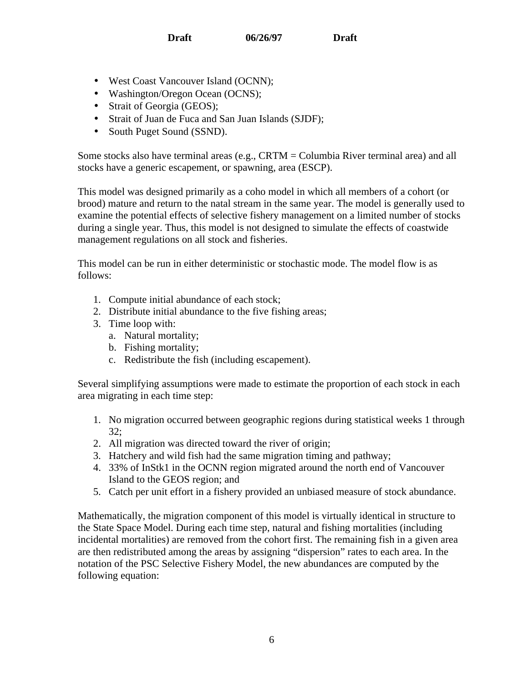- West Coast Vancouver Island (OCNN);
- Washington/Oregon Ocean (OCNS);
- Strait of Georgia (GEOS);
- Strait of Juan de Fuca and San Juan Islands (SJDF);
- South Puget Sound (SSND).

Some stocks also have terminal areas (e.g., CRTM = Columbia River terminal area) and all stocks have a generic escapement, or spawning, area (ESCP).

This model was designed primarily as a coho model in which all members of a cohort (or brood) mature and return to the natal stream in the same year. The model is generally used to examine the potential effects of selective fishery management on a limited number of stocks during a single year. Thus, this model is not designed to simulate the effects of coastwide management regulations on all stock and fisheries.

This model can be run in either deterministic or stochastic mode. The model flow is as follows:

- 1. Compute initial abundance of each stock;
- 2. Distribute initial abundance to the five fishing areas;
- 3. Time loop with:
	- a. Natural mortality;
	- b. Fishing mortality;
	- c. Redistribute the fish (including escapement).

Several simplifying assumptions were made to estimate the proportion of each stock in each area migrating in each time step:

- 1. No migration occurred between geographic regions during statistical weeks 1 through 32;
- 2. All migration was directed toward the river of origin;
- 3. Hatchery and wild fish had the same migration timing and pathway;
- 4. 33% of InStk1 in the OCNN region migrated around the north end of Vancouver Island to the GEOS region; and
- 5. Catch per unit effort in a fishery provided an unbiased measure of stock abundance.

Mathematically, the migration component of this model is virtually identical in structure to the State Space Model. During each time step, natural and fishing mortalities (including incidental mortalities) are removed from the cohort first. The remaining fish in a given area are then redistributed among the areas by assigning "dispersion" rates to each area. In the notation of the PSC Selective Fishery Model, the new abundances are computed by the following equation: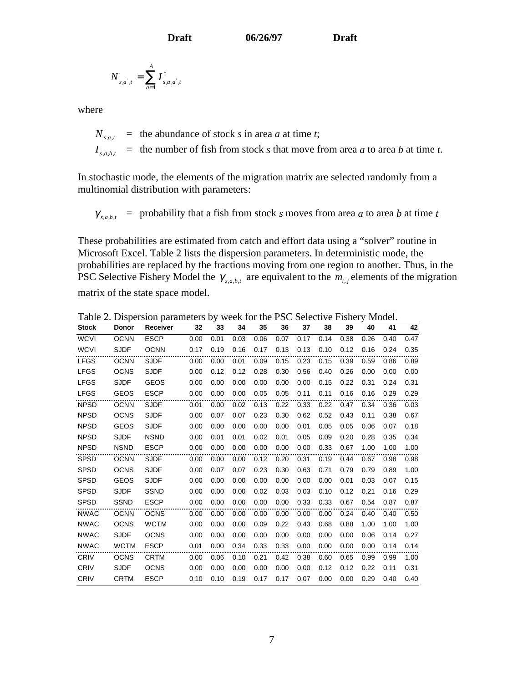$$
N_{s,a^{\dagger},t} = \sum_{a=1}^{A} I^*_{s,a,a^{\dagger},t}
$$

where

 $N_{sqt}$  = the abundance of stock *s* in area *a* at time *t*;  $I_{s, a, b, t}$  = the number of fish from stock *s* that move from area *a* to area *b* at time *t*.

In stochastic mode, the elements of the migration matrix are selected randomly from a multinomial distribution with parameters:

 $\gamma_{s,a,b,t}$  = probability that a fish from stock *s* moves from area *a* to area *b* at time *t* 

These probabilities are estimated from catch and effort data using a "solver" routine in Microsoft Excel. Table 2 lists the dispersion parameters. In deterministic mode, the probabilities are replaced by the fractions moving from one region to another. Thus, in the PSC Selective Fishery Model the  $\gamma_{s,a,b,t}$  are equivalent to the  $m_{i,j}$  elements of the migration matrix of the state space model.

| <b>Stock</b> | <b>Donor</b> | Receiver    | 32   | 33   | 34   | 35   | 36   | 37   | 38   | 39   | 40   | 41   | 42   |
|--------------|--------------|-------------|------|------|------|------|------|------|------|------|------|------|------|
| <b>WCVI</b>  | <b>OCNN</b>  | <b>ESCP</b> | 0.00 | 0.01 | 0.03 | 0.06 | 0.07 | 0.17 | 0.14 | 0.38 | 0.26 | 0.40 | 0.47 |
| <b>WCVI</b>  | <b>SJDF</b>  | <b>OCNN</b> | 0.17 | 0.19 | 0.16 | 0.17 | 0.13 | 0.13 | 0.10 | 0.12 | 0.16 | 0.24 | 0.35 |
| <b>LFGS</b>  | <b>OCNN</b>  | <b>SJDF</b> | 0.00 | 0.00 | 0.01 | 0.09 | 0.15 | 0.23 | 0.15 | 0.39 | 0.59 | 0.86 | 0.89 |
| <b>LFGS</b>  | <b>OCNS</b>  | <b>SJDF</b> | 0.00 | 0.12 | 0.12 | 0.28 | 0.30 | 0.56 | 0.40 | 0.26 | 0.00 | 0.00 | 0.00 |
| <b>LFGS</b>  | <b>SJDF</b>  | <b>GEOS</b> | 0.00 | 0.00 | 0.00 | 0.00 | 0.00 | 0.00 | 0.15 | 0.22 | 0.31 | 0.24 | 0.31 |
| <b>LFGS</b>  | <b>GEOS</b>  | <b>ESCP</b> | 0.00 | 0.00 | 0.00 | 0.05 | 0.05 | 0.11 | 0.11 | 0.16 | 0.16 | 0.29 | 0.29 |
| <b>NPSD</b>  | <b>OCNN</b>  | <b>SJDF</b> | 0.01 | 0.00 | 0.02 | 0.13 | 0.22 | 0.33 | 0.22 | 0.47 | 0.34 | 0.36 | 0.03 |
| <b>NPSD</b>  | <b>OCNS</b>  | <b>SJDF</b> | 0.00 | 0.07 | 0.07 | 0.23 | 0.30 | 0.62 | 0.52 | 0.43 | 0.11 | 0.38 | 0.67 |
| <b>NPSD</b>  | <b>GEOS</b>  | <b>SJDF</b> | 0.00 | 0.00 | 0.00 | 0.00 | 0.00 | 0.01 | 0.05 | 0.05 | 0.06 | 0.07 | 0.18 |
| <b>NPSD</b>  | <b>SJDF</b>  | <b>NSND</b> | 0.00 | 0.01 | 0.01 | 0.02 | 0.01 | 0.05 | 0.09 | 0.20 | 0.28 | 0.35 | 0.34 |
| <b>NPSD</b>  | <b>NSND</b>  | <b>ESCP</b> | 0.00 | 0.00 | 0.00 | 0.00 | 0.00 | 0.00 | 0.33 | 0.67 | 1.00 | 1.00 | 1.00 |
| <b>SPSD</b>  | <b>OCNN</b>  | <b>SJDF</b> | 0.00 | 0.00 | 0.00 | 0.12 | 0.20 | 0.31 | 0.19 | 0.44 | 0.67 | 0.98 | 0.98 |
| <b>SPSD</b>  | <b>OCNS</b>  | <b>SJDF</b> | 0.00 | 0.07 | 0.07 | 0.23 | 0.30 | 0.63 | 0.71 | 0.79 | 0.79 | 0.89 | 1.00 |
| <b>SPSD</b>  | <b>GEOS</b>  | <b>SJDF</b> | 0.00 | 0.00 | 0.00 | 0.00 | 0.00 | 0.00 | 0.00 | 0.01 | 0.03 | 0.07 | 0.15 |
| <b>SPSD</b>  | <b>SJDF</b>  | <b>SSND</b> | 0.00 | 0.00 | 0.00 | 0.02 | 0.03 | 0.03 | 0.10 | 0.12 | 0.21 | 0.16 | 0.29 |
| <b>SPSD</b>  | <b>SSND</b>  | <b>ESCP</b> | 0.00 | 0.00 | 0.00 | 0.00 | 0.00 | 0.33 | 0.33 | 0.67 | 0.54 | 0.87 | 0.87 |
| <b>NWAC</b>  | <b>OCNN</b>  | <b>OCNS</b> | 0.00 | 0.00 | 0.00 | 0.00 | 0.00 | 0.00 | 0.00 | 0.24 | 0.40 | 0.40 | 0.50 |
| <b>NWAC</b>  | <b>OCNS</b>  | <b>WCTM</b> | 0.00 | 0.00 | 0.00 | 0.09 | 0.22 | 0.43 | 0.68 | 0.88 | 1.00 | 1.00 | 1.00 |
| <b>NWAC</b>  | <b>SJDF</b>  | <b>OCNS</b> | 0.00 | 0.00 | 0.00 | 0.00 | 0.00 | 0.00 | 0.00 | 0.00 | 0.06 | 0.14 | 0.27 |
| <b>NWAC</b>  | <b>WCTM</b>  | <b>ESCP</b> | 0.01 | 0.00 | 0.34 | 0.33 | 0.33 | 0.00 | 0.00 | 0.00 | 0.00 | 0.14 | 0.14 |
| CRIV         | <b>OCNS</b>  | <b>CRTM</b> | 0.00 | 0.06 | 0.10 | 0.21 | 0.42 | 0.38 | 0.60 | 0.65 | 0.99 | 0.99 | 1.00 |
| CRIV         | <b>SJDF</b>  | <b>OCNS</b> | 0.00 | 0.00 | 0.00 | 0.00 | 0.00 | 0.00 | 0.12 | 0.12 | 0.22 | 0.11 | 0.31 |
| <b>CRIV</b>  | <b>CRTM</b>  | <b>ESCP</b> | 0.10 | 0.10 | 0.19 | 0.17 | 0.17 | 0.07 | 0.00 | 0.00 | 0.29 | 0.40 | 0.40 |
|              |              |             |      |      |      |      |      |      |      |      |      |      |      |

Table 2. Dispersion parameters by week for the PSC Selective Fishery Model.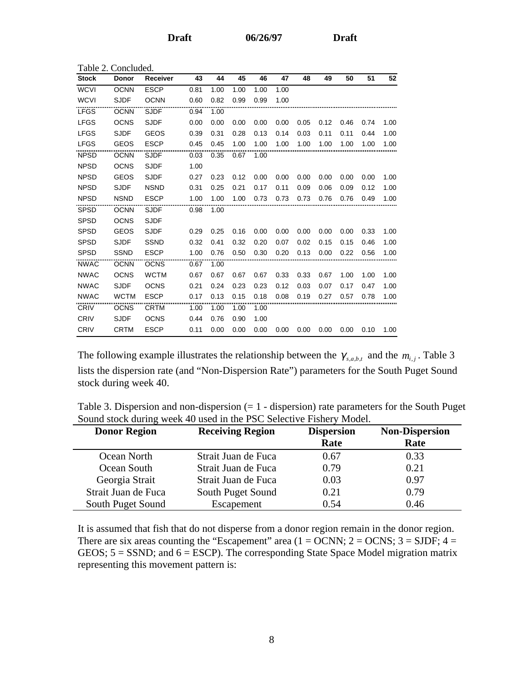| Table 2. Concluded. |              |                 |      |      |      |      |      |      |      |      |      |      |
|---------------------|--------------|-----------------|------|------|------|------|------|------|------|------|------|------|
| <b>Stock</b>        | <b>Donor</b> | <b>Receiver</b> | 43   | 44   | 45   | 46   | 47   | 48   | 49   | 50   | 51   | 52   |
| <b>WCVI</b>         | <b>OCNN</b>  | <b>ESCP</b>     | 0.81 | 1.00 | 1.00 | 1.00 | 1.00 |      |      |      |      |      |
| <b>WCVI</b>         | <b>SJDF</b>  | <b>OCNN</b>     | 0.60 | 0.82 | 0.99 | 0.99 | 1.00 |      |      |      |      |      |
| <b>LFGS</b>         | <b>OCNN</b>  | <b>SJDF</b>     | 0.94 | 1.00 |      |      |      |      |      |      |      |      |
| <b>LFGS</b>         | <b>OCNS</b>  | <b>SJDF</b>     | 0.00 | 0.00 | 0.00 | 0.00 | 0.00 | 0.05 | 0.12 | 0.46 | 0.74 | 1.00 |
| <b>LFGS</b>         | <b>SJDF</b>  | <b>GEOS</b>     | 0.39 | 0.31 | 0.28 | 0.13 | 0.14 | 0.03 | 0.11 | 0.11 | 0.44 | 1.00 |
| <b>LFGS</b>         | <b>GEOS</b>  | <b>ESCP</b>     | 0.45 | 0.45 | 1.00 | 1.00 | 1.00 | 1.00 | 1.00 | 1.00 | 1.00 | 1.00 |
| <b>NPSD</b>         | <b>OCNN</b>  | <b>SJDF</b>     | 0.03 | 0.35 | 0.67 | 1.00 |      |      |      |      |      |      |
| <b>NPSD</b>         | <b>OCNS</b>  | <b>SJDF</b>     | 1.00 |      |      |      |      |      |      |      |      |      |
| <b>NPSD</b>         | <b>GEOS</b>  | <b>SJDF</b>     | 0.27 | 0.23 | 0.12 | 0.00 | 0.00 | 0.00 | 0.00 | 0.00 | 0.00 | 1.00 |
| <b>NPSD</b>         | <b>SJDF</b>  | <b>NSND</b>     | 0.31 | 0.25 | 0.21 | 0.17 | 0.11 | 0.09 | 0.06 | 0.09 | 0.12 | 1.00 |
| <b>NPSD</b>         | <b>NSND</b>  | <b>ESCP</b>     | 1.00 | 1.00 | 1.00 | 0.73 | 0.73 | 0.73 | 0.76 | 0.76 | 0.49 | 1.00 |
| <b>SPSD</b>         | <b>OCNN</b>  | <b>SJDF</b>     | 0.98 | 1.00 |      |      |      |      |      |      |      |      |
| <b>SPSD</b>         | <b>OCNS</b>  | <b>SJDF</b>     |      |      |      |      |      |      |      |      |      |      |
| <b>SPSD</b>         | <b>GEOS</b>  | <b>SJDF</b>     | 0.29 | 0.25 | 0.16 | 0.00 | 0.00 | 0.00 | 0.00 | 0.00 | 0.33 | 1.00 |
| <b>SPSD</b>         | <b>SJDF</b>  | <b>SSND</b>     | 0.32 | 0.41 | 0.32 | 0.20 | 0.07 | 0.02 | 0.15 | 0.15 | 0.46 | 1.00 |
| <b>SPSD</b>         | <b>SSND</b>  | <b>ESCP</b>     | 1.00 | 0.76 | 0.50 | 0.30 | 0.20 | 0.13 | 0.00 | 0.22 | 0.56 | 1.00 |
| <b>NWAC</b>         | <b>OCNN</b>  | <b>OCNS</b>     | 0.67 | 1.00 |      |      |      |      |      |      |      |      |
| <b>NWAC</b>         | <b>OCNS</b>  | <b>WCTM</b>     | 0.67 | 0.67 | 0.67 | 0.67 | 0.33 | 0.33 | 0.67 | 1.00 | 1.00 | 1.00 |
| <b>NWAC</b>         | <b>SJDF</b>  | <b>OCNS</b>     | 0.21 | 0.24 | 0.23 | 0.23 | 0.12 | 0.03 | 0.07 | 0.17 | 0.47 | 1.00 |
| <b>NWAC</b>         | <b>WCTM</b>  | <b>ESCP</b>     | 0.17 | 0.13 | 0.15 | 0.18 | 0.08 | 0.19 | 0.27 | 0.57 | 0.78 | 1.00 |
| CRIV                | <b>OCNS</b>  | <b>CRTM</b>     | 1.00 | 1.00 | 1.00 | 1.00 |      |      |      |      |      |      |
| <b>CRIV</b>         | <b>SJDF</b>  | <b>OCNS</b>     | 0.44 | 0.76 | 0.90 | 1.00 |      |      |      |      |      |      |
| CRIV                | <b>CRTM</b>  | <b>ESCP</b>     | 0.11 | 0.00 | 0.00 | 0.00 | 0.00 | 0.00 | 0.00 | 0.00 | 0.10 | 1.00 |

The following example illustrates the relationship between the  $\gamma_{s,a,b,t}$  and the  $m_{i,j}$ . Table 3 lists the dispersion rate (and "Non-Dispersion Rate") parameters for the South Puget Sound stock during week 40.

| Table 3. Dispersion and non-dispersion $(= 1 -$ dispersion) rate parameters for the South Puget |
|-------------------------------------------------------------------------------------------------|
| Sound stock during week 40 used in the PSC Selective Fishery Model.                             |

| <b>Donor Region</b> | <b>Receiving Region</b> | <b>Dispersion</b> | <b>Non-Dispersion</b> |
|---------------------|-------------------------|-------------------|-----------------------|
|                     |                         | Rate              | Rate                  |
| Ocean North         | Strait Juan de Fuca     | 0.67              | 0.33                  |
| Ocean South         | Strait Juan de Fuca     | 0.79              | 0.21                  |
| Georgia Strait      | Strait Juan de Fuca     | 0.03              | 0.97                  |
| Strait Juan de Fuca | South Puget Sound       | 0.21              | 0.79                  |
| South Puget Sound   | Escapement              | 0.54              | 0.46                  |

It is assumed that fish that do not disperse from a donor region remain in the donor region. There are six areas counting the "Escapement" area  $(1 = OCNN; 2 = OCNN; 3 = SIDF; 4 =$ GEOS;  $5 =$  SSND; and  $6 =$  ESCP). The corresponding State Space Model migration matrix representing this movement pattern is: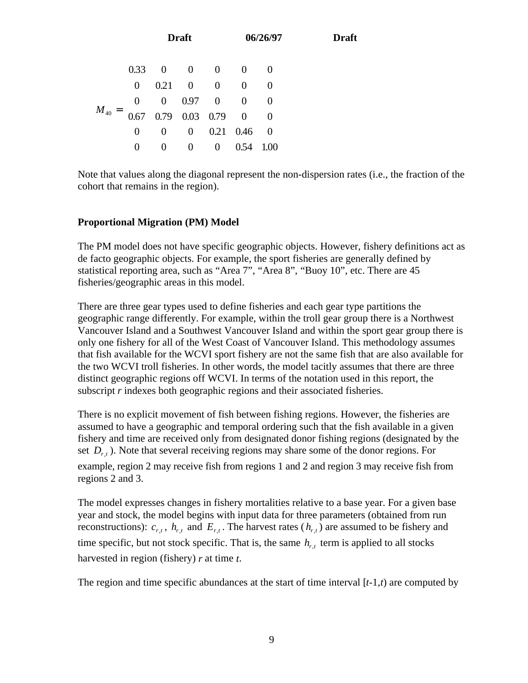|               |  | $=\begin{bmatrix} 0.33 & 0 & 0 & 0 & 0 & 0 \\ 0 & 0.21 & 0 & 0 & 0 & 0 \\ 0 & 0 & 0.97 & 0 & 0 & 0 \\ 0.67 & 0.79 & 0.03 & 0.79 & 0 & 0 \\ 0 & 0 & 0 & 0.21 & 0.46 & 0 \\ 0 & 0 & 0 & 0 & 0.54 & 1.00 \end{bmatrix}$ |                   |  |
|---------------|--|----------------------------------------------------------------------------------------------------------------------------------------------------------------------------------------------------------------------|-------------------|--|
|               |  |                                                                                                                                                                                                                      |                   |  |
|               |  |                                                                                                                                                                                                                      |                   |  |
| $\bm{M}_{40}$ |  |                                                                                                                                                                                                                      |                   |  |
|               |  |                                                                                                                                                                                                                      |                   |  |
|               |  |                                                                                                                                                                                                                      | $0.54 \quad 1.00$ |  |

Note that values along the diagonal represent the non-dispersion rates (i.e., the fraction of the cohort that remains in the region).

## **Proportional Migration (PM) Model**

The PM model does not have specific geographic objects. However, fishery definitions act as de facto geographic objects. For example, the sport fisheries are generally defined by statistical reporting area, such as "Area 7", "Area 8", "Buoy 10", etc. There are 45 fisheries/geographic areas in this model.

There are three gear types used to define fisheries and each gear type partitions the geographic range differently. For example, within the troll gear group there is a Northwest Vancouver Island and a Southwest Vancouver Island and within the sport gear group there is only one fishery for all of the West Coast of Vancouver Island. This methodology assumes that fish available for the WCVI sport fishery are not the same fish that are also available for the two WCVI troll fisheries. In other words, the model tacitly assumes that there are three distinct geographic regions off WCVI. In terms of the notation used in this report, the subscript *r* indexes both geographic regions and their associated fisheries.

There is no explicit movement of fish between fishing regions. However, the fisheries are assumed to have a geographic and temporal ordering such that the fish available in a given fishery and time are received only from designated donor fishing regions (designated by the set  $D_{r,t}$ ). Note that several receiving regions may share some of the donor regions. For example, region 2 may receive fish from regions 1 and 2 and region 3 may receive fish from regions 2 and 3.

The model expresses changes in fishery mortalities relative to a base year. For a given base year and stock, the model begins with input data for three parameters (obtained from run reconstructions):  $c_{r,t}$ ,  $h_{r,t}$  and  $E_{r,t}$ . The harvest rates  $(h_{r,t})$  are assumed to be fishery and time specific, but not stock specific. That is, the same  $h_{r,t}$  term is applied to all stocks harvested in region (fishery) *r* at time *t*.

The region and time specific abundances at the start of time interval [*t*-1,*t*) are computed by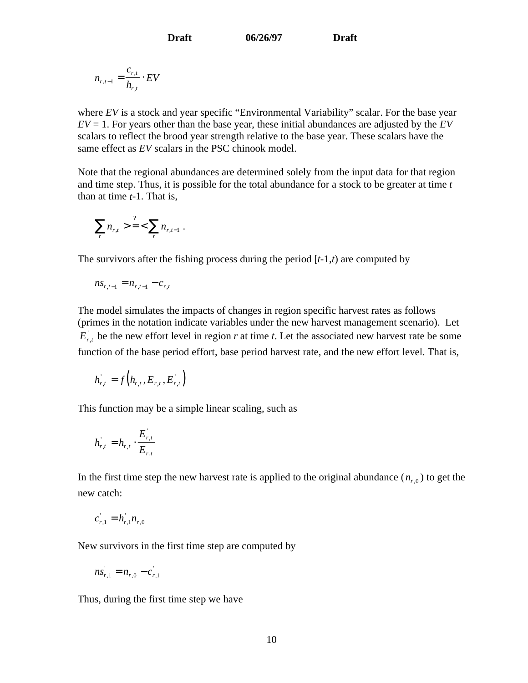$$
n_{r,t-1} = \frac{c_{r,t}}{h_{r,t}} \cdot EV
$$

where *EV* is a stock and year specific "Environmental Variability" scalar. For the base year  $EV = 1$ . For years other than the base year, these initial abundances are adjusted by the  $EV$ scalars to reflect the brood year strength relative to the base year. These scalars have the same effect as *EV* scalars in the PSC chinook model.

Note that the regional abundances are determined solely from the input data for that region and time step. Thus, it is possible for the total abundance for a stock to be greater at time *t* than at time *t*-1. That is,

$$
\sum_{r} n_{r,t} > \frac{?}{2} < \sum_{r} n_{r,t-1} .
$$

The survivors after the fishing process during the period  $[t-1,t)$  are computed by

$$
ns_{r,t-1} = n_{r,t-1} - c_{r,t}
$$

The model simulates the impacts of changes in region specific harvest rates as follows (primes in the notation indicate variables under the new harvest management scenario). Let  $E_{r,t}$  be the new effort level in region *r* at time *t*. Let the associated new harvest rate be some function of the base period effort, base period harvest rate, and the new effort level. That is,

$$
h_{r,t}=f\left(h_{r,t},E_{r,t},E_{r,t}\right)
$$

This function may be a simple linear scaling, such as

$$
h_{r,t}^{'}=h_{r,t}\cdot\frac{E_{r,t}^{'} }{E_{r,t}}
$$

In the first time step the new harvest rate is applied to the original abundance  $(n_{r,0})$  to get the new catch:

$$
c_{r,1} = h_{r,1} n_{r,0}
$$

New survivors in the first time step are computed by

$$
ns_{r,1}^{'} = n_{r,0} - c_{r,1}^{'}
$$

Thus, during the first time step we have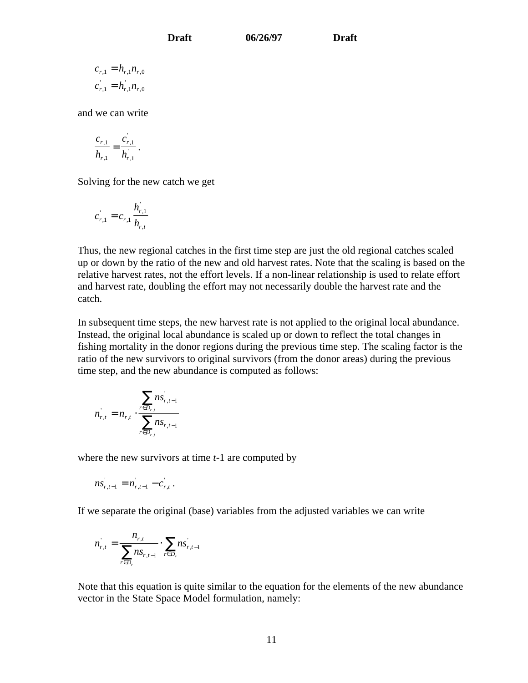$c_{r,1} = h_{r,1} n_{r,0}$  $c_{r,1}^{\dagger} = h_{r,1} h_{r,0}$ 

and we can write

$$
\frac{c_{r,1}}{h_{r,1}} = \frac{c_{r,1}}{h_{r,1}}.
$$

Solving for the new catch we get

$$
c_{r,1} = c_{r,1} \frac{h_{r,1}^{\prime}}{h_{r,t}}
$$

Thus, the new regional catches in the first time step are just the old regional catches scaled up or down by the ratio of the new and old harvest rates. Note that the scaling is based on the relative harvest rates, not the effort levels. If a non-linear relationship is used to relate effort and harvest rate, doubling the effort may not necessarily double the harvest rate and the catch.

In subsequent time steps, the new harvest rate is not applied to the original local abundance. Instead, the original local abundance is scaled up or down to reflect the total changes in fishing mortality in the donor regions during the previous time step. The scaling factor is the ratio of the new survivors to original survivors (from the donor areas) during the previous time step, and the new abundance is computed as follows:

$$
n_{r,t} = n_{r,t} \cdot \frac{\sum_{r \in D_{r,t}} n s_{r,t-1}}{\sum_{r \in D_{r,t}} n s_{r,t-1}}
$$

where the new survivors at time *t*-1 are computed by

$$
ns_{r,t-1} = n_{r,t-1} - c_{r,t}.
$$

If we separate the original (base) variables from the adjusted variables we can write

$$
n_{r,t} = \frac{n_{r,t}}{\sum_{r \in D_r} n s_{r,t-1}} \cdot \sum_{r \in D_r} n s_{r,t-1}
$$

Note that this equation is quite similar to the equation for the elements of the new abundance vector in the State Space Model formulation, namely: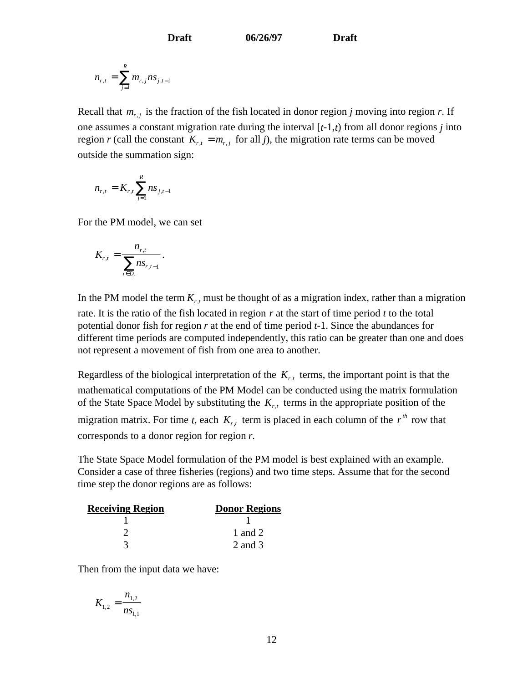$$
n_{r,t} = \sum_{j=1}^{R} m_{r,j} n s_{j,t-1}
$$

Recall that  $m_{r,j}$  is the fraction of the fish located in donor region *j* moving into region *r*. If one assumes a constant migration rate during the interval [*t*-1,*t*) from all donor regions *j* into region *r* (call the constant  $K_{r,t} = m_{r,t}$  for all *j*), the migration rate terms can be moved outside the summation sign:

$$
n_{r,t} = K_{r,t} \sum_{j=1}^{R} n s_{j,t-1}
$$

For the PM model, we can set

$$
K_{r,t} = \frac{n_{r,t}}{\sum_{r \in D_r} n s_{r,t-1}}.
$$

In the PM model the term  $K_{r,t}$  must be thought of as a migration index, rather than a migration rate. It is the ratio of the fish located in region *r* at the start of time period *t* to the total potential donor fish for region *r* at the end of time period *t*-1. Since the abundances for different time periods are computed independently, this ratio can be greater than one and does not represent a movement of fish from one area to another.

Regardless of the biological interpretation of the  $K_{rt}$  terms, the important point is that the mathematical computations of the PM Model can be conducted using the matrix formulation of the State Space Model by substituting the  $K_{r,t}$  terms in the appropriate position of the migration matrix. For time *t*, each  $K_{r,t}$  term is placed in each column of the  $r^{th}$  row that corresponds to a donor region for region *r*.

The State Space Model formulation of the PM model is best explained with an example. Consider a case of three fisheries (regions) and two time steps. Assume that for the second time step the donor regions are as follows:

| <b>Receiving Region</b> | <b>Donor Regions</b> |
|-------------------------|----------------------|
|                         |                      |
|                         | 1 and 2              |
|                         | 2 and 3              |

Then from the input data we have:

$$
K_{1,2} = \frac{n_{1,2}}{n_{1,1}}
$$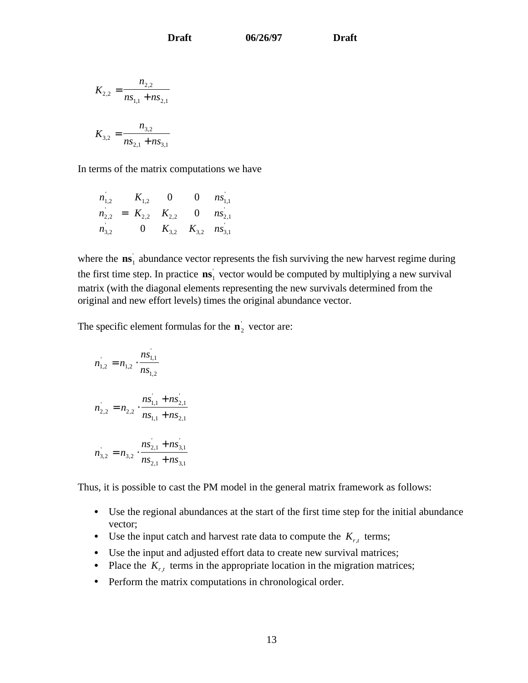$$
K_{2,2} = \frac{n_{2,2}}{ns_{1,1} + ns_{2,1}}
$$

$$
K_{3,2} = \frac{n_{3,2}}{ns_{2,1} + ns_{3,1}}
$$

In terms of the matrix computations we have

$$
\begin{bmatrix} n_{1,2} \\ n_{2,2} \\ n_{3,2} \end{bmatrix} = \begin{bmatrix} K_{1,2} & 0 & 0 \\ K_{2,2} & K_{2,2} & 0 \\ 0 & K_{3,2} & K_{3,2} \end{bmatrix} \begin{bmatrix} n_{1,1} \\ n_{2,1} \\ n_{3,1} \end{bmatrix}
$$

where the  $\textbf{ns}_1$  abundance vector represents the fish surviving the new harvest regime during the first time step. In practice  $\mathbf{ns}_1$  vector would be computed by multiplying a new survival matrix (with the diagonal elements representing the new survivals determined from the original and new effort levels) times the original abundance vector.

The specific element formulas for the  $\mathbf{n}_2$ <sup>'</sup> vector are:

$$
n_{1,2} = n_{1,2} \cdot \frac{ns_{1,1}}{ns_{1,2}}
$$
  

$$
n_{2,2} = n_{2,2} \cdot \frac{ns_{1,1} + ns_{2,1}}{ns_{1,1} + ns_{2,1}}
$$
  

$$
n_{3,2} = n_{3,2} \cdot \frac{ns_{2,1} + ns_{3,1}}{ns_{2,1} + ns_{3,1}}
$$

Thus, it is possible to cast the PM model in the general matrix framework as follows:

- Use the regional abundances at the start of the first time step for the initial abundance vector;
- Use the input catch and harvest rate data to compute the  $K_{r,t}$  terms;
- Use the input and adjusted effort data to create new survival matrices;
- Place the  $K_{r,t}$  terms in the appropriate location in the migration matrices;
- Perform the matrix computations in chronological order.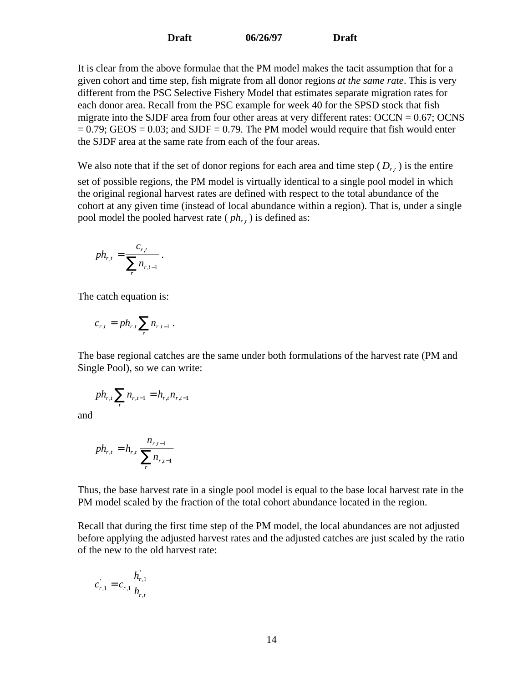It is clear from the above formulae that the PM model makes the tacit assumption that for a given cohort and time step, fish migrate from all donor regions *at the same rate*. This is very different from the PSC Selective Fishery Model that estimates separate migration rates for each donor area. Recall from the PSC example for week 40 for the SPSD stock that fish migrate into the SJDF area from four other areas at very different rates:  $\text{OCCN} = 0.67$ ;  $\text{OCNS}$  $= 0.79$ ; GEOS  $= 0.03$ ; and SJDF  $= 0.79$ . The PM model would require that fish would enter the SJDF area at the same rate from each of the four areas.

We also note that if the set of donor regions for each area and time step  $(D_{r,t})$  is the entire set of possible regions, the PM model is virtually identical to a single pool model in which the original regional harvest rates are defined with respect to the total abundance of the cohort at any given time (instead of local abundance within a region). That is, under a single pool model the pooled harvest rate  $(\rho h_{rt})$  is defined as:

$$
ph_{r,t} = \frac{c_{r,t}}{\sum_{r} n_{r,t-1}}.
$$

The catch equation is:

$$
c_{r,t} = p h_{r,t} \sum_r n_{r,t-1}.
$$

The base regional catches are the same under both formulations of the harvest rate (PM and Single Pool), so we can write:

$$
ph_{r,t} \sum_{r} n_{r,t-1} = h_{r,t} n_{r,t-1}
$$

and

$$
ph_{r,t} = h_{r,t} \frac{n_{r,t-1}}{\sum_{r} n_{r,t-1}}
$$

Thus, the base harvest rate in a single pool model is equal to the base local harvest rate in the PM model scaled by the fraction of the total cohort abundance located in the region.

Recall that during the first time step of the PM model, the local abundances are not adjusted before applying the adjusted harvest rates and the adjusted catches are just scaled by the ratio of the new to the old harvest rate:

$$
c_{r,1} = c_{r,1} \frac{h_{r,1}}{h_{r,t}}
$$